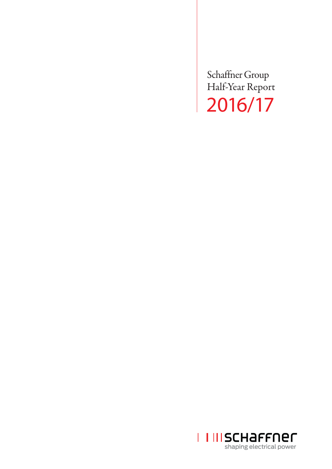Schaffner Group Half-Year Report 2016/17

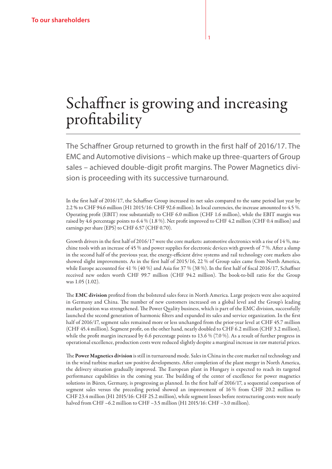# Schaffner is growing and increasing profitability

The Schaffner Group returned to growth in the first half of 2016/17. The EMC and Automotive divisions – which make up three-quarters of Group sales – achieved double-digit profit margins. The Power Magnetics division is proceeding with its successive turnaround.

In the first half of 2016/17, the Schaffner Group increased its net sales compared to the same period last year by 2.2 % to CHF 94.6 million (H1 2015/16: CHF 92.6 million). In local currencies, the increase amounted to 4.5 %. Operating profit (EBIT) rose substantially to CHF 6.0 million (CHF 1.6 million), while the EBIT margin was raised by 4.6 percentage points to 6.4 % (1.8 %). Net profit improved to CHF 4.2 million (CHF 0.4 million) and earnings per share (EPS) to CHF 6.57 (CHF 0.70).

Growth drivers in the first half of 2016/17 were the core markets: automotive electronics with a rise of 14 %, machine tools with an increase of 45 % and power supplies for electronic devices with growth of 7 %. After a slump in the second half of the previous year, the energy-efficient drive systems and rail technology core markets also showed slight improvements. As in the first half of 2015/16, 22 % of Group sales came from North America, while Europe accounted for 41 % (40 %) and Asia for 37 % (38 %). In the first half of fiscal 2016/17, Schaffner received new orders worth CHF 99.7 million (CHF 94.2 million). The book-to-bill ratio for the Group was 1.05 (1.02).

The EMC division profited from the bolstered sales force in North America. Large projects were also acquired in Germany and China. The number of new customers increased on a global level and the Group's leading market position was strengthened. The Power Quality business, which is part of the EMC division, successfully launched the second generation of harmonic filters and expanded its sales and service organization. In the first half of 2016/17, segment sales remained more or less unchanged from the prior-year level at CHF 45.7 million (CHF 45.4 million). Segment profit, on the other hand, nearly doubled to CHF 6.2 million (CHF 3.2 million), while the profit margin increased by 6.6 percentage points to 13.6 % (7.0 %). As a result of further progress in operational excellence, production costs were reduced slightly despite a marginal increase in raw material prices.

The Power Magnetics division is still in turnaround mode. Sales in China in the core market rail technology and in the wind turbine market saw positive developments. After completion of the plant merger in North America, the delivery situation gradually improved. The European plant in Hungary is expected to reach its targeted performance capabilities in the coming year. The building of the center of excellence for power magnetics solutions in Büren, Germany, is progressing as planned. In the first half of 2016/17, a sequential comparison of segment sales versus the preceding period showed an improvement of 16 % from CHF 20.2 million to CHF 23.4 million (H1 2015/16: CHF 25.2 million), while segment losses before restructuring costs were nearly halved from CHF –6.2 million to CHF –3.5 million (H1 2015/16: CHF –3.0 million).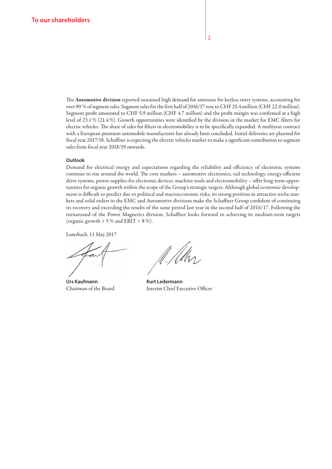The Automotive division reported sustained high demand for antennas for keyless entry systems, accounting for over 90 % of segment sales. Segment sales for the first half of 2016/17 rose to CHF 25.4 million (CHF 22.0 million). Segment profit amounted to CHF 5.9 million (CHF 4.7 million) and the profit margin was confirmed at a high level of 23.1 % (21.4 %). Growth opportunities were identified by the division in the market for EMC filters for electric vehicles. The share of sales for filters in electromobility is to be specifically expanded. A multiyear contract with a European premium automobile manufacturer has already been concluded. Initial deliveries are planned for fiscal year 2017/18. Schaffner is expecting the electric vehicles market to make a significant contribution to segment sales from fiscal year 2018/19 onwards.

#### **Outlook**

Demand for electrical energy and expectations regarding the reliability and efficiency of electronic systems continue to rise around the world. The core markets – automotive electronics, rail technology, energy-efficient drive systems, power supplies for electronic devices, machine tools and electromobility – offer long-term opportunities for organic growth within the scope of the Group's strategic targets. Although global economic development is difficult to predict due to political and macroeconomic risks, its strong position in attractive niche markets and solid orders in the EMC and Automotive divisions make the Schaffner Group confident of continuing its recovery and exceeding the results of the same period last year in the second half of 2016/17. Following the turnaround of the Power Magnetics division, Schaffner looks forward to achieving its medium-term targets (organic growth  $> 5\%$  and EBIT  $> 8\%$ ).

Luterbach, 11 May 2017

Urs Kaufmann **Kurt Ledermann** 

Chairman of the Board Interim Chief Executive Officer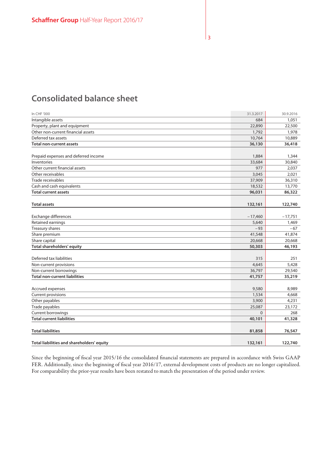# **Consolidated balance sheet**

| In CHF '000                                | 31.3.2017 | 30.9.2016 |
|--------------------------------------------|-----------|-----------|
| Intangible assets                          | 684       | 1,051     |
| Property, plant and equipment              | 22,890    | 22,500    |
| Other non-current financial assets         | 1,792     | 1,978     |
| Deferred tax assets                        | 10,764    | 10,889    |
| <b>Total non-current assets</b>            | 36,130    | 36,418    |
|                                            |           |           |
| Prepaid expenses and deferred income       | 1,884     | 1,344     |
| Inventories                                | 33,684    | 30,840    |
| Other current financial assets             | 977       | 2,037     |
| Other receivables                          | 3,045     | 2,021     |
| Trade receivables                          | 37,909    | 36,310    |
| Cash and cash equivalents                  | 18,532    | 13,770    |
| <b>Total current assets</b>                | 96,031    | 86,322    |
|                                            |           |           |
| <b>Total assets</b>                        | 132,161   | 122,740   |
|                                            |           |           |
| Exchange differences                       | $-17,460$ | $-17,751$ |
| Retained earnings                          | 5,640     | 1,469     |
| Treasury shares                            | $-93$     | $-67$     |
| Share premium                              | 41,548    | 41,874    |
| Share capital                              | 20,668    | 20,668    |
| <b>Total shareholders' equity</b>          | 50,303    | 46,193    |
|                                            |           |           |
| Deferred tax liabilities                   | 315       | 251       |
| Non-current provisions                     | 4,645     | 5,428     |
| Non-current borrowings                     | 36,797    | 29,540    |
| <b>Total non-current liabilities</b>       | 41,757    | 35,219    |
|                                            |           |           |
| Accrued expenses                           | 9,580     | 8,989     |
| <b>Current provisions</b>                  | 1,534     | 4,668     |
| Other payables                             | 3,900     | 4,231     |
| Trade payables                             | 25,087    | 23,172    |
| Current borrowings                         | $\Omega$  | 268       |
| <b>Total current liabilities</b>           | 40,101    | 41,328    |
|                                            |           |           |
| <b>Total liabilities</b>                   | 81,858    | 76,547    |
|                                            |           |           |
| Total liabilities and shareholders' equity | 132,161   | 122,740   |

Since the beginning of fiscal year 2015/16 the consolidated financial statements are prepared in accordance with Swiss GAAP FER. Additionally, since the beginning of fiscal year 2016/17, external development costs of products are no longer capitalized. For comparability the prior-year results have been restated to match the presentation of the period under review.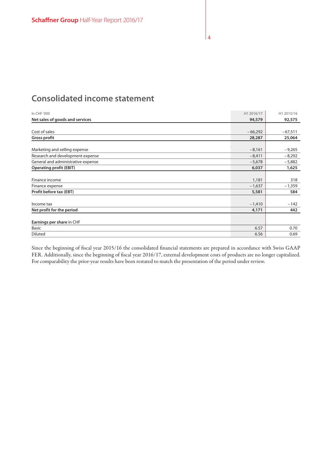# **Consolidated income statement**

| In CHF '000                        | H1 2016/17 | H1 2015/16 |
|------------------------------------|------------|------------|
| Net sales of goods and services    | 94,579     | 92,575     |
|                                    |            |            |
| Cost of sales                      | $-66,292$  | $-67,511$  |
| <b>Gross profit</b>                | 28,287     | 25,064     |
|                                    |            |            |
| Marketing and selling expense      | $-8,161$   | $-9,265$   |
| Research and development expense   | $-8,411$   | $-8,292$   |
| General and administrative expense | $-5,678$   | $-5,882$   |
| <b>Operating profit (EBIT)</b>     | 6,037      | 1,625      |
|                                    |            |            |
| Finance income                     | 1,181      | 318        |
| Finance expense                    | $-1,637$   | $-1,359$   |
| Profit before tax (EBT)            | 5,581      | 584        |
|                                    |            |            |
| Income tax                         | $-1,410$   | $-142$     |
| Net profit for the period          | 4,171      | 442        |
|                                    |            |            |
| Earnings per share in CHF          |            |            |
| <b>Basic</b>                       | 6.57       | 0.70       |
| Diluted                            | 6.56       | 0.69       |

Since the beginning of fiscal year 2015/16 the consolidated financial statements are prepared in accordance with Swiss GAAP FER. Additionally, since the beginning of fiscal year 2016/17, external development costs of products are no longer capitalized. For comparability the prior-year results have been restated to match the presentation of the period under review.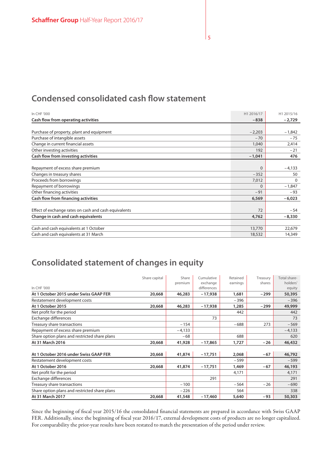# **Condensed consolidated cash flow statement**

| In CHF '000                                           | H1 2016/17 | H1 2015/16 |
|-------------------------------------------------------|------------|------------|
| Cash flow from operating activities                   | $-838$     | $-2,729$   |
|                                                       |            |            |
| Purchase of property, plant and equipment             | $-2,203$   | $-1,842$   |
| Purchase of intangible assets                         | $-70$      | $-75$      |
| Change in current financial assets                    | 1,040      | 2,414      |
| Other investing activities                            | 192        | $-21$      |
| Cash flow from investing activities                   | $-1,041$   | 476        |
|                                                       |            |            |
| Repayment of excess share premium                     | $\Omega$   | $-4,133$   |
| Changes in treasury shares                            | $-352$     | 50         |
| Proceeds from borrowings                              | 7,012      | $\Omega$   |
| Repayment of borrowings                               | $\Omega$   | $-1,847$   |
| Other financing activities                            | $-91$      | $-93$      |
| Cash flow from financing activities                   | 6,569      | $-6,023$   |
|                                                       |            |            |
| Effect of exchange rates on cash and cash equivalents | 72         | $-54$      |
| Change in cash and cash equivalents                   | 4,762      | $-8,330$   |
|                                                       |            |            |
| Cash and cash equivalents at 1 October                | 13,770     | 22,679     |
| Cash and cash equivalents at 31 March                 | 18,532     | 14,349     |

# **Consolidated statement of changes in equity**

|                                               | Share capital | Share    | Cumulative  | Retained | Treasury | Total share- |
|-----------------------------------------------|---------------|----------|-------------|----------|----------|--------------|
|                                               |               | premium  | exchange    | earnings | shares   | holders'     |
| In CHF '000                                   |               |          | differences |          |          | equity       |
| At 1 October 2015 under Swiss GAAP FER        | 20,668        | 46,283   | $-17,938$   | 1,681    | $-299$   | 50,395       |
| Restatement development costs                 |               |          |             | $-396$   |          | $-396$       |
| At 1 October 2015                             | 20,668        | 46,283   | $-17,938$   | 1,285    | $-299$   | 49,999       |
| Net profit for the period                     |               |          |             | 442      |          | 442          |
| Exchange differences                          |               |          | 73          |          |          | 73           |
| Treasury share transactions                   |               | $-154$   |             | $-688$   | 273      | $-569$       |
| Repayment of excess share premium             |               | $-4,133$ |             |          |          | $-4,133$     |
| Share option plans and restricted share plans |               | $-68$    |             | 688      |          | 620          |
| At 31 March 2016                              | 20,668        | 41,928   | $-17,865$   | 1,727    | $-26$    | 46,432       |
|                                               |               |          |             |          |          |              |
| At 1 October 2016 under Swiss GAAP FER        | 20,668        | 41,874   | $-17,751$   | 2,068    | $-67$    | 46,792       |
| Restatement development costs                 |               |          |             | $-599$   |          | $-599$       |
| At 1 October 2016                             | 20,668        | 41,874   | $-17,751$   | 1,469    | $-67$    | 46,193       |
| Net profit for the period                     |               |          |             | 4,171    |          | 4,171        |
| Exchange differences                          |               |          | 291         |          |          | 291          |
| Treasury share transactions                   |               | $-100$   |             | $-564$   | $-26$    | $-690$       |
| Share option plans and restricted share plans |               | $-226$   |             | 564      |          | 338          |
| At 31 March 2017                              | 20,668        | 41,548   | $-17,460$   | 5,640    | -93      | 50,303       |

Since the beginning of fiscal year 2015/16 the consolidated financial statements are prepared in accordance with Swiss GAAP FER. Additionally, since the beginning of fiscal year 2016/17, external development costs of products are no longer capitalized. For comparability the prior-year results have been restated to match the presentation of the period under review.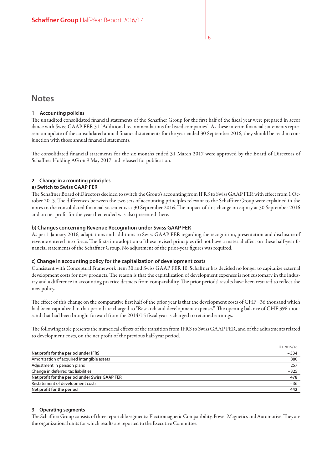# **Notes**

#### **1 Accounting policies**

The unaudited consolidated financial statements of the Schaffner Group for the first half of the fiscal year were prepared in accor dance with Swiss GAAP FER 31 "Additional recommendations for listed companies". As these interim financial statements represent an update of the consolidated annual financial statements for the year ended 30 September 2016, they should be read in conjunction with those annual financial statements.

The consolidated financial statements for the six months ended 31 March 2017 were approved by the Board of Directors of Schaffner Holding AG on 9 May 2017 and released for publication.

### **2 Change in accounting principles**

#### **a) Switch to Swiss GAAP FER**

The Schaffner Board of Directors decided to switch the Group's accounting from IFRS to Swiss GAAP FER with effect from 1 October 2015. The differences between the two sets of accounting principles relevant to the Schaffner Group were explained in the notes to the consolidated financial statements at 30 September 2016. The impact of this change on equity at 30 September 2016 and on net profit for the year then ended was also presented there.

#### **b) Changes concerning Revenue Recognition under Swiss GAAP FER**

As per 1 January 2016, adaptations and additions to Swiss GAAP FER regarding the recognition, presentation and disclosure of revenue entered into force. The first-time adoption of these revised principles did not have a material effect on these half-year financial statements of the Schaffner Group. No adjustment of the prior-year figures was required.

#### **c) Change in accounting policy for the capitalization of development costs**

Consistent with Conceptual Framework item 30 and Swiss GAAP FER 10, Schaffner has decided no longer to capitalize external development costs for new products. The reason is that the capitalization of development expenses is not customary in the industry and a difference in accounting practice detracts from comparability. The prior periods' results have been restated to reflect the new policy.

The effect of this change on the comparative first half of the prior year is that the development costs of CHF –36 thousand which had been capitalized in that period are charged to "Research and development expenses". The opening balance of CHF 396 thousand that had been brought forward from the 2014/15 fiscal year is charged to retained earnings.

The following table presents the numerical effects of the transition from IFRS to Swiss GAAP FER, and of the adjustments related to development costs, on the net profit of the previous half-year period.

|                                                | H1 2015/16 |
|------------------------------------------------|------------|
| Net profit for the period under IFRS           | $-334$     |
| Amortization of acquired intangible assets     | 880        |
| Adjustment in pension plans                    | 257        |
| Change in deferred tax liabilities             | $-325$     |
| Net profit for the period under Swiss GAAP FER | 478        |
| Restatement of development costs               | $-36$      |
| Net profit for the period                      | 442        |

#### **3 Operating segments**

The Schaffner Group consists of three reportable segments: Electromagnetic Compatibility, Power Magnetics and Automotive. They are the organizational units for which results are reported to the Executive Committee.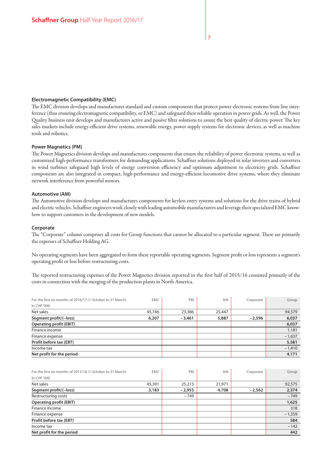#### **Electromagnetic Compatibility (EMC)**

The EMC division develops and manufactures standard and custom components that protect power electronic systems from line interference (thus ensuring electromagnetic compatibility, or EMC) and safeguard their reliable operation in power grids. As well, the Power Quality business unit develops and manufactures active and passive filter solutions to assure the best quality of electric power. The key sales markets include energy-efficient drive systems, renewable energy, power supply systems for electronic devices, as well as machine tools and robotics.

#### **Power Magnetics (PM)**

The Power Magnetics division develops and manufactures components that ensure the reliability of power electronic systems, as well as customized high-performance transformers for demanding applications. Schaffner solutions deployed in solar inverters and converters in wind turbines safeguard high levels of energy conversion efficiency and optimum adjustment to electricity grids. Schaffner components are also integrated in compact, high-performance and energy-efficient locomotive drive systems, where they eliminate network interference from powerful motors.

#### **Automotive (AM)**

The Automotive division develops and manufactures components for keyless entry systems and solutions for the drive trains of hybrid and electric vehicles. Schaffner engineers work closely with leading automobile manufacturers and leverage their specialized EMC knowhow to support customers in the development of new models.

#### **Corporate**

The "Corporate" column comprises all costs for Group functions that cannot be allocated to a particular segment. These are primarily the expenses of Schaffner Holding AG.

No operating segments have been aggregated to form these reportable operating segments. Segment profit or loss represents a segment's operating profit or loss before restructuring costs.

The reported restructuring expenses of the Power Magnetics division reported in the first half of 2015/16 consisted primarily of the costs in connection with the merging of the production plants in North America.

| For the first six months of 2016/17 (1 October to 31 March) | <b>EMC</b> | PM       | AM     | Corporate | Group    |
|-------------------------------------------------------------|------------|----------|--------|-----------|----------|
| In CHF '000                                                 |            |          |        |           |          |
| Net sales                                                   | 45,746     | 23,386   | 25,447 |           | 94,579   |
| Segment profit/(-loss)                                      | 6,207      | $-3.461$ | 5,887  | $-2.596$  | 6,037    |
| <b>Operating profit (EBIT)</b>                              |            |          |        |           | 6,037    |
| Finance income                                              |            |          |        |           | 1,181    |
| Finance expense                                             |            |          |        |           | $-1,637$ |
| Profit before tax (EBT)                                     |            |          |        |           | 5,581    |
| Income tax                                                  |            |          |        |           | $-1,410$ |
| Net profit for the period                                   |            |          |        |           | 4,171    |

| For the first six months of 2015/16 (1 October to 31 March) | <b>EMC</b> | PM       | AM     | Corporate | Group    |
|-------------------------------------------------------------|------------|----------|--------|-----------|----------|
| In CHF '000                                                 |            |          |        |           |          |
| Net sales                                                   | 45,391     | 25,213   | 21,971 |           | 92,575   |
| Segment profit/(-loss)                                      | 3,183      | $-2,955$ | 4,708  | $-2,562$  | 2,374    |
| Restructuring costs                                         |            | $-749$   |        |           | $-749$   |
| <b>Operating profit (EBIT)</b>                              |            |          |        |           | 1,625    |
| Finance income                                              |            |          |        |           | 318      |
| Finance expense                                             |            |          |        |           | $-1,359$ |
| Profit before tax (EBT)                                     |            |          |        |           | 584      |
| Income tax                                                  |            |          |        |           | $-142$   |
| Net profit for the period                                   |            |          |        |           | 442      |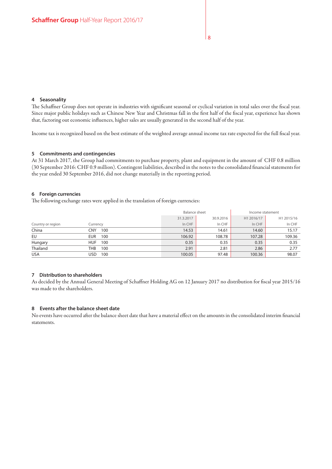#### **4 Seasonality**

The Schaffner Group does not operate in industries with significant seasonal or cyclical variation in total sales over the fiscal year. Since major public holidays such as Chinese New Year and Christmas fall in the first half of the fiscal year, experience has shown that, factoring out economic influences, higher sales are usually generated in the second half of the year.

Income tax is recognized based on the best estimate of the weighted average annual income tax rate expected for the full fiscal year.

#### **5 Commitments and contingencies**

At 31 March 2017, the Group had commitments to purchase property, plant and equipment in the amount of CHF 0.8 million (30 September 2016: CHF 0.9 million). Contingent liabilities, described in the notes to the consolidated financial statements for the year ended 30 September 2016, did not change materially in the reporting period.

#### **6 Foreign currencies**

The following exchange rates were applied in the translation of foreign currencies:

|                   |                   | Balance sheet |           | Income statement |            |
|-------------------|-------------------|---------------|-----------|------------------|------------|
|                   |                   | 31.3.2017     | 30.9.2016 | H1 2016/17       | H1 2015/16 |
| Country or region | Currency          | In CHF        | In CHF    | In CHF           | In CHF     |
| China             | CNY<br>100        | 14.53         | 14.61     | 14.60            | 15.17      |
| EU                | 100<br>EUR.       | 106.92        | 108.78    | 107.28           | 109.36     |
| Hungary           | <b>HUF</b><br>100 | 0.35          | 0.35      | 0.35             | 0.35       |
| Thailand          | THB<br>100        | 2.91          | 2.81      | 2.86             | 2.77       |
| <b>USA</b>        | USD<br>100        | 100.05        | 97.48     | 100.36           | 98.07      |

#### **7 Distribution to shareholders**

As decided by the Annual General Meeting of Schaffner Holding AG on 12 January 2017 no distribution for fiscal year 2015/16 was made to the shareholders.

#### **8 Events after the balance sheet date**

No events have occurred after the balance sheet date that have a material effect on the amounts in the consolidated interim financial statements.